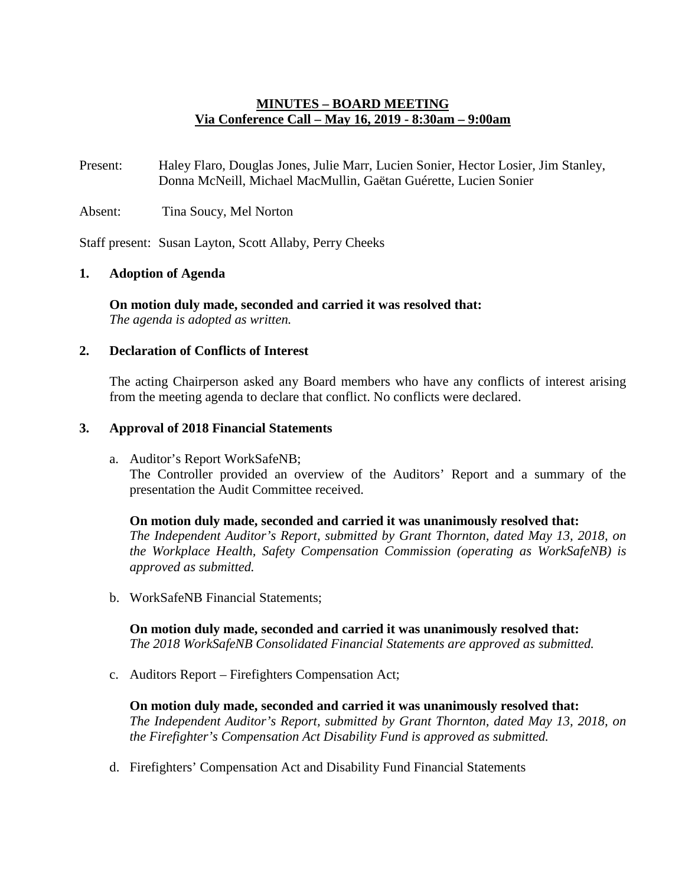## **MINUTES – BOARD MEETING Via Conference Call – May 16, 2019 - 8:30am – 9:00am**

Present: Haley Flaro, Douglas Jones, Julie Marr, Lucien Sonier, Hector Losier, Jim Stanley, Donna McNeill, Michael MacMullin, Gaëtan Guérette, Lucien Sonier

Absent: Tina Soucy, Mel Norton

Staff present: Susan Layton, Scott Allaby, Perry Cheeks

### **1. Adoption of Agenda**

**On motion duly made, seconded and carried it was resolved that:** *The agenda is adopted as written.*

#### **2. Declaration of Conflicts of Interest**

The acting Chairperson asked any Board members who have any conflicts of interest arising from the meeting agenda to declare that conflict. No conflicts were declared.

### **3. Approval of 2018 Financial Statements**

a. Auditor's Report WorkSafeNB; The Controller provided an overview of the Auditors' Report and a summary of the presentation the Audit Committee received.

**On motion duly made, seconded and carried it was unanimously resolved that:** *The Independent Auditor's Report, submitted by Grant Thornton, dated May 13, 2018, on the Workplace Health, Safety Compensation Commission (operating as WorkSafeNB) is approved as submitted.*

b. WorkSafeNB Financial Statements;

**On motion duly made, seconded and carried it was unanimously resolved that:** *The 2018 WorkSafeNB Consolidated Financial Statements are approved as submitted.*

c. Auditors Report – Firefighters Compensation Act;

**On motion duly made, seconded and carried it was unanimously resolved that:** *The Independent Auditor's Report, submitted by Grant Thornton, dated May 13, 2018, on the Firefighter's Compensation Act Disability Fund is approved as submitted.*

d. Firefighters' Compensation Act and Disability Fund Financial Statements